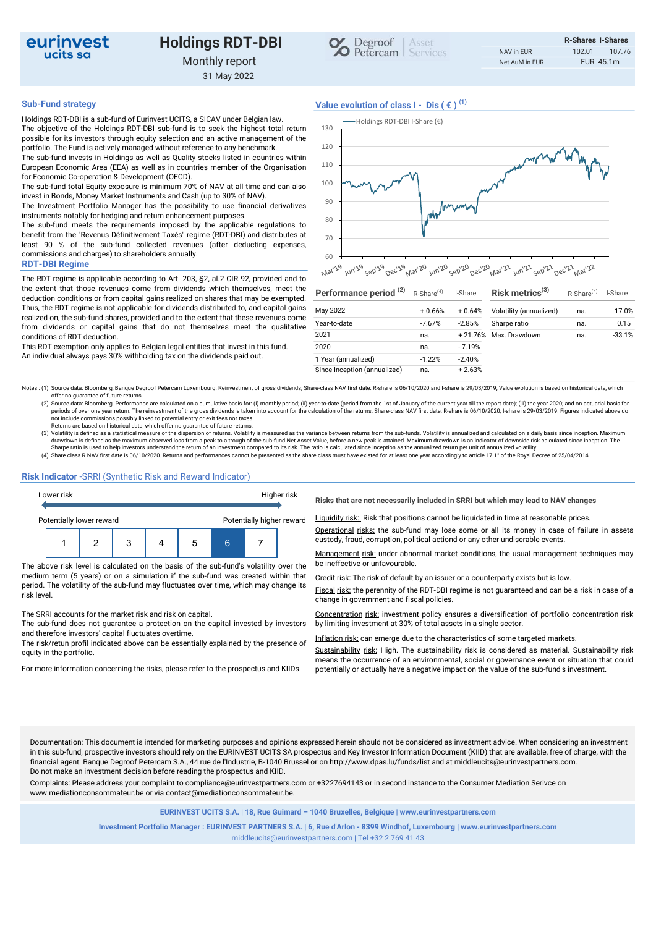

# Holdings RDT-DBI Monthly report

31 May 2022



Holdings RDT-DBI is a sub-fund of Eurinvest UCITS, a SICAV under Belgian law. The objective of the Holdings RDT-DBI sub-fund is to seek the highest total return possible for its investors through equity selection and an active management of the portfolio. The Fund is actively managed without reference to any benchmark. The sub-fund invests in Holdings as well as Quality stocks listed in countries within

European Economic Area (EEA) as well as in countries member of the Organisation for Economic Co-operation & Development (OECD). The sub-fund total Equity exposure is minimum 70% of NAV at all time and can also

invest in Bonds, Money Market Instruments and Cash (up to 30% of NAV). The Investment Portfolio Manager has the possibility to use financial derivatives

instruments notably for hedging and return enhancement purposes. The sub-fund meets the requirements imposed by the applicable regulations to

benefit from the "Revenus Définitivement Taxés" regime (RDT-DBI) and distributes at least 90 % of the sub-fund collected revenues (after deducting expenses, commissions and charges) to shareholders annually.

### RDT-DBI Regime

The RDT regime is applicable according to Art. 203, §2, al.2 CIR 92, provided and to the extent that those revenues come from dividends which themselves, meet the deduction conditions or from capital gains realized on shares that may be exempted. Thus, the RDT regime is not applicable for dividends distributed to, and capital gains realized on, the sub-fund shares, provided and to the extent that these revenues come from dividends or capital gains that do not themselves meet the qualitative conditions of RDT deduction.

This RDT exemption only applies to Belgian legal entities that invest in this fund. An individual always pays 30% withholding tax on the dividends paid out.

## Sub-Fund strategy  $V$ alue evolution of class  $I - Dis$  ( $\in$ )<sup>(1)</sup>



| Performance period <sup>(2)</sup> | $R$ -Share <sup>(4)</sup> | I-Share   | Risk metrics $(3)$      | R-Share <sup>(4)</sup> | I-Share  |
|-----------------------------------|---------------------------|-----------|-------------------------|------------------------|----------|
| May 2022                          | $+0.66%$                  | $+0.64%$  | Volatility (annualized) | na.                    | 17.0%    |
| Year-to-date                      | $-7.67%$                  | $-2.85%$  | Sharpe ratio            | na.                    | 0.15     |
| 2021                              | na.                       | $+21.76%$ | Max. Drawdown           | na.                    | $-33.1%$ |
| 2020                              | na.                       | $-7.19%$  |                         |                        |          |
| 1 Year (annualized)               | $-1.22%$                  | $-2.40%$  |                         |                        |          |
| Since Inception (annualized)      | na.                       | $+2.63%$  |                         |                        |          |

Notes : (1) Source data: Bloomberg, Banque Degroof Petercam Luxembourg. Reinvestment of gross dividends; Share-class NAV first date: R-share is 06/10/2020 and I-share is 29/03/2019; Value evolution is based on historical d offer no guarantee of future returns.

(2) Source data: Bloomberg. Performance are calculated on a cumulative basis for: (i) monthly period; (ii) year-to-date (period from the 1st of January of the current year till the report date); (iii) the year 2020; and on

Returns are based on historical data, which offer no guarantee of future returns.<br>(3) Volatility is defined as a statistical measure of the dispersion of returns. Volatility is measured as the variance between returns from drawdown is defined as the maximum observed loss from a peak to a trough of the sub-fund Net Asset Value, before a new peak is attained. Maximum drawdown is an indicator of downside risk calculated since inception. The<br>Sha

(4) Share class R NAV first date is 06/10/2020. Returns and performances cannot be presented as the share class must have existed for at least one year accordingly to article 17 1° of the Royal Decree of 25/04/2014

### Risk Indicator -SRRI (Synthetic Risk and Reward Indicator)



The above risk level is calculated on the basis of the sub-fund's volatility over the be ineffective or unfavourable. medium term (5 years) or on a simulation if the sub-fund was created within that period. The volatility of the sub-fund may fluctuates over time, which may change its risk level.

The SRRI accounts for the market risk and risk on capital.

The sub-fund does not guarantee a protection on the capital invested by investors and therefore investors' capital fluctuates overtime.

The risk/retun profil indicated above can be essentially explained by the presence of equity in the portfolio.

Risks that are not necessarily included in SRRI but which may lead to NAV changes

Liquidity risk: Risk that positions cannot be liquidated in time at reasonable prices.

Operational risks: the sub-fund may lose some or all its money in case of failure in assets

Management risk: under abnormal market conditions, the usual management techniques may

Credit risk: The risk of default by an issuer or a counterparty exists but is low.

Fiscal risk: the perennity of the RDT-DBI regime is not guaranteed and can be a risk in case of a change in government and fiscal policies.

Concentration risk: investment policy ensures a diversification of portfolio concentration risk by limiting investment at 30% of total assets in a single sector.

Inflation risk: can emerge due to the characteristics of some targeted markets.

Sustainability risk: High. The sustainability risk is considered as material. Sustainability risk means the occurrence of an environmental, social or governance event or situation that could For more information concerning the risks, please refer to the prospectus and KIIDs. potentially or actually have a negative impact on the value of the sub-fund's investment.

Documentation: This document is intended for marketing purposes and opinions expressed herein should not be considered as investment advice. When considering an investment in this sub-fund, prospective investors should rely on the EURINVEST UCITS SA prospectus and Key Investor Information Document (KIID) that are available, free of charge, with the financial agent: Banque Degroof Petercam S.A., 44 rue de l'Industrie, B-1040 Brussel or on http://www.dpas.lu/funds/list and at middleucits@eurinvestpartners.com. Do not make an investment decision before reading the prospectus and KIID.

Complaints: Please address your complaint to compliance@eurinvestpartners.com or +3227694143 or in second instance to the Consumer Mediation Serivce on www.mediationconsommateur.be or via contact@mediationconsommateur.be.

EURINVEST UCITS S.A. | 18, Rue Guimard – 1040 Bruxelles, Belgique | www.eurinvestpartners.com

Investment Portfolio Manager : EURINVEST PARTNERS S.A. | 6, Rue d'Arlon - 8399 Windhof, Luxembourg | www.eurinvestpartners.com middleucits@eurinvestpartners.com | Tel +32 2 769 41 43